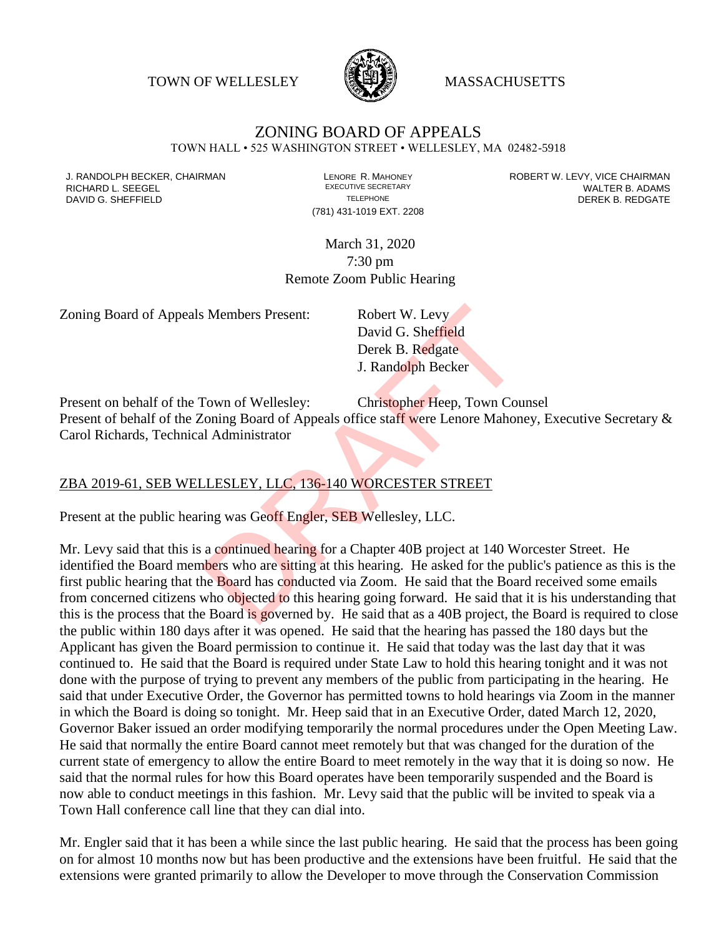TOWN OF WELLESLEY **WASSACHUSETTS** 



## ZONING BOARD OF APPEALS

TOWN HALL • 525 WASHINGTON STREET • WELLESLEY, MA 02482-5918

(781) 431-1019 EXT. 2208

J. RANDOLPH BECKER, CHAIRMAN LAND LENORE R. MAHONEY LEWING AN ANDERT W. LEVY, VICE CHAIRMAN LAND LENORE R. MAHONEY<br>RICHARD L. SFFGFI LADAMS RICHARD L. SEEGEL **EXECUTIVE SECRETARY CONTROLL SEEGETARY** WALTER B. ADAMS DAVID G. SHEFFIELD **TELEPHONE** TELEPHONE TELEPHONE **TELEPHONE DEREK B. REDGATE** 

> March 31, 2020 7:30 pm Remote Zoom Public Hearing

Zoning Board of Appeals Members Present: Robert W. Levy

David G. Sheffield Derek B. Redgate J. Randolph Becker

Present on behalf of the Town of Wellesley: Christopher Heep, Town Counsel Present of behalf of the Zoning Board of Appeals office staff were Lenore Mahoney, Executive Secretary & Carol Richards, Technical Administrator

## ZBA 2019-61, SEB WELLESLEY, LLC, 136-140 WORCESTER STREET

Present at the public hearing was Geoff Engler, SEB Wellesley, LLC.

Mr. Levy said that this is a continued hearing for a Chapter 40B project at 140 Worcester Street. He identified the Board members who are sitting at this hearing. He asked for the public's patience as this is the first public hearing that the Board has conducted via Zoom. He said that the Board received some emails from concerned citizens who objected to this hearing going forward. He said that it is his understanding that this is the process that the Board is governed by. He said that as a 40B project, the Board is required to close the public within 180 days after it was opened. He said that the hearing has passed the 180 days but the Applicant has given the Board permission to continue it. He said that today was the last day that it was continued to. He said that the Board is required under State Law to hold this hearing tonight and it was not done with the purpose of trying to prevent any members of the public from participating in the hearing. He said that under Executive Order, the Governor has permitted towns to hold hearings via Zoom in the manner in which the Board is doing so tonight. Mr. Heep said that in an Executive Order, dated March 12, 2020, Governor Baker issued an order modifying temporarily the normal procedures under the Open Meeting Law. He said that normally the entire Board cannot meet remotely but that was changed for the duration of the current state of emergency to allow the entire Board to meet remotely in the way that it is doing so now. He said that the normal rules for how this Board operates have been temporarily suspended and the Board is now able to conduct meetings in this fashion. Mr. Levy said that the public will be invited to speak via a Town Hall conference call line that they can dial into. Robert W. Levy<br>David G. Sheffield<br>Derek B. Redgate<br>J. Randolph Becker<br>Town of Wellesley: Christopher Heep, Town Cou<br>Coning Board of Appeals office staff were Lenore Mahon<br>Il Administrator<br>LLESLEY, LLC, 136-140 WORCESTER ST

Mr. Engler said that it has been a while since the last public hearing. He said that the process has been going on for almost 10 months now but has been productive and the extensions have been fruitful. He said that the extensions were granted primarily to allow the Developer to move through the Conservation Commission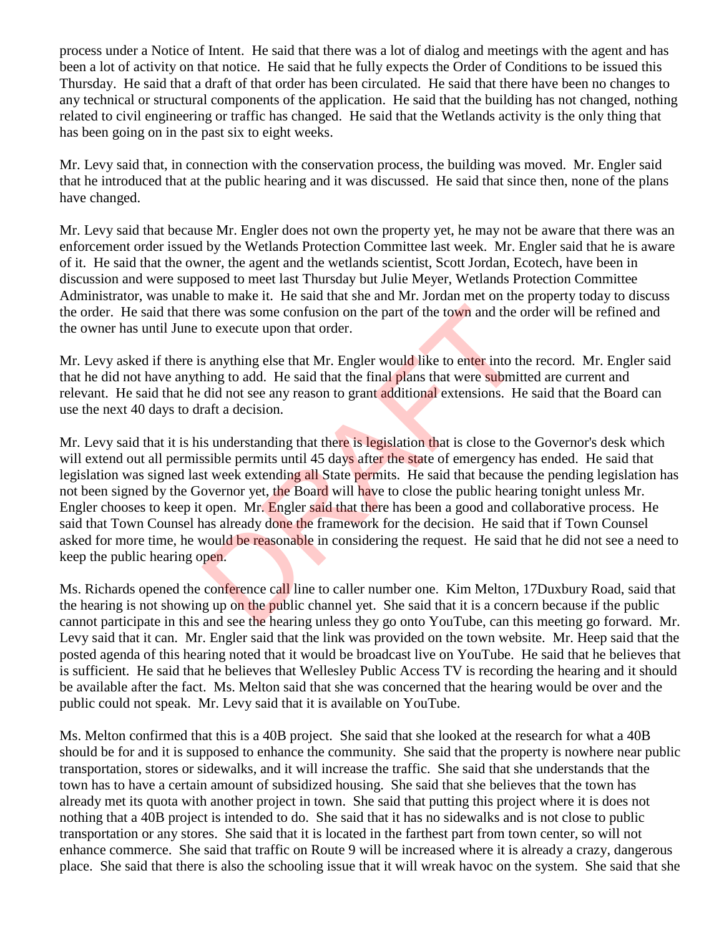process under a Notice of Intent. He said that there was a lot of dialog and meetings with the agent and has been a lot of activity on that notice. He said that he fully expects the Order of Conditions to be issued this Thursday. He said that a draft of that order has been circulated. He said that there have been no changes to any technical or structural components of the application. He said that the building has not changed, nothing related to civil engineering or traffic has changed. He said that the Wetlands activity is the only thing that has been going on in the past six to eight weeks.

Mr. Levy said that, in connection with the conservation process, the building was moved. Mr. Engler said that he introduced that at the public hearing and it was discussed. He said that since then, none of the plans have changed.

Mr. Levy said that because Mr. Engler does not own the property yet, he may not be aware that there was an enforcement order issued by the Wetlands Protection Committee last week. Mr. Engler said that he is aware of it. He said that the owner, the agent and the wetlands scientist, Scott Jordan, Ecotech, have been in discussion and were supposed to meet last Thursday but Julie Meyer, Wetlands Protection Committee Administrator, was unable to make it. He said that she and Mr. Jordan met on the property today to discuss the order. He said that there was some confusion on the part of the town and the order will be refined and the owner has until June to execute upon that order.

Mr. Levy asked if there is anything else that Mr. Engler would like to enter into the record. Mr. Engler said that he did not have anything to add. He said that the final plans that were submitted are current and relevant. He said that he did not see any reason to grant additional extensions. He said that the Board can use the next 40 days to draft a decision.

Mr. Levy said that it is his understanding that there is legislation that is close to the Governor's desk which will extend out all permissible permits until 45 days after the state of emergency has ended. He said that legislation was signed last week extending all State permits. He said that because the pending legislation has not been signed by the Governor yet, the Board will have to close the public hearing tonight unless Mr. Engler chooses to keep it open. Mr. Engler said that there has been a good and collaborative process. He said that Town Counsel has already done the framework for the decision. He said that if Town Counsel asked for more time, he would be reasonable in considering the request. He said that he did not see a need to keep the public hearing open. ere was some confusion on the part of the town and the c<br>to execute upon that order.<br>So anything else that Mr. Engler would like to enter into the<br>hing to add. He said that the final plans that were submit<br>did not see any

Ms. Richards opened the conference call line to caller number one. Kim Melton, 17Duxbury Road, said that the hearing is not showing up on the public channel yet. She said that it is a concern because if the public cannot participate in this and see the hearing unless they go onto YouTube, can this meeting go forward. Mr. Levy said that it can. Mr. Engler said that the link was provided on the town website. Mr. Heep said that the posted agenda of this hearing noted that it would be broadcast live on YouTube. He said that he believes that is sufficient. He said that he believes that Wellesley Public Access TV is recording the hearing and it should be available after the fact. Ms. Melton said that she was concerned that the hearing would be over and the public could not speak. Mr. Levy said that it is available on YouTube.

Ms. Melton confirmed that this is a 40B project. She said that she looked at the research for what a 40B should be for and it is supposed to enhance the community. She said that the property is nowhere near public transportation, stores or sidewalks, and it will increase the traffic. She said that she understands that the town has to have a certain amount of subsidized housing. She said that she believes that the town has already met its quota with another project in town. She said that putting this project where it is does not nothing that a 40B project is intended to do. She said that it has no sidewalks and is not close to public transportation or any stores. She said that it is located in the farthest part from town center, so will not enhance commerce. She said that traffic on Route 9 will be increased where it is already a crazy, dangerous place. She said that there is also the schooling issue that it will wreak havoc on the system. She said that she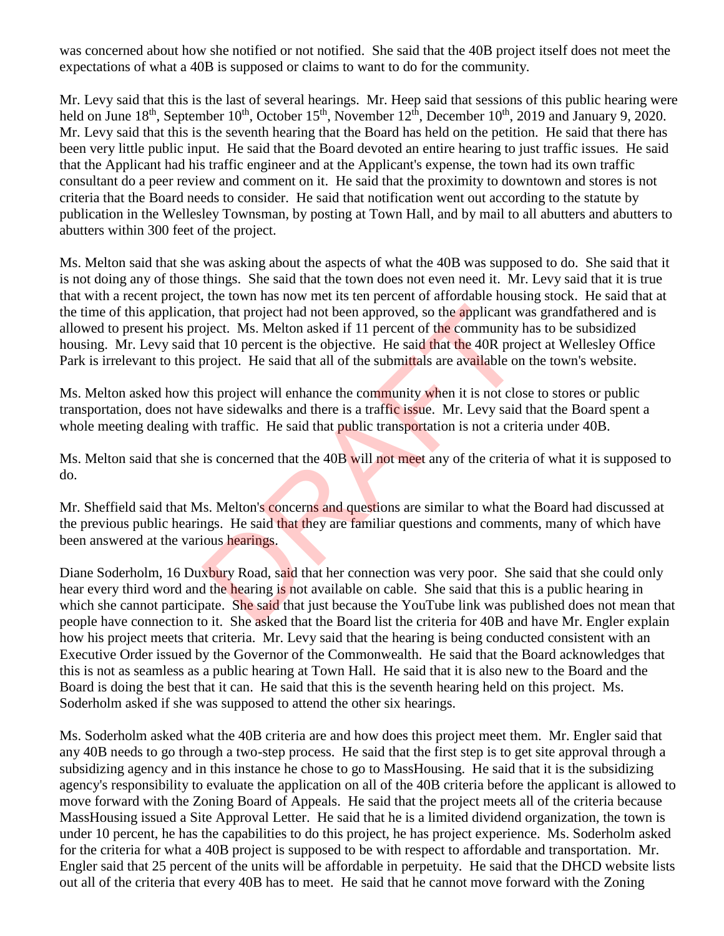was concerned about how she notified or not notified. She said that the 40B project itself does not meet the expectations of what a 40B is supposed or claims to want to do for the community.

Mr. Levy said that this is the last of several hearings. Mr. Heep said that sessions of this public hearing were held on June 18<sup>th</sup>, September 10<sup>th</sup>, October 15<sup>th</sup>, November 12<sup>th</sup>, December 10<sup>th</sup>, 2019 and January 9, 2020. Mr. Levy said that this is the seventh hearing that the Board has held on the petition. He said that there has been very little public input. He said that the Board devoted an entire hearing to just traffic issues. He said that the Applicant had his traffic engineer and at the Applicant's expense, the town had its own traffic consultant do a peer review and comment on it. He said that the proximity to downtown and stores is not criteria that the Board needs to consider. He said that notification went out according to the statute by publication in the Wellesley Townsman, by posting at Town Hall, and by mail to all abutters and abutters to abutters within 300 feet of the project.

Ms. Melton said that she was asking about the aspects of what the 40B was supposed to do. She said that it is not doing any of those things. She said that the town does not even need it. Mr. Levy said that it is true that with a recent project, the town has now met its ten percent of affordable housing stock. He said that at the time of this application, that project had not been approved, so the applicant was grandfathered and is allowed to present his project. Ms. Melton asked if 11 percent of the community has to be subsidized housing. Mr. Levy said that 10 percent is the objective. He said that the 40R project at Wellesley Office Park is irrelevant to this project. He said that all of the submittals are available on the town's website. on, that project had not been approved, so the applicant w<br>oject. Ms. Melton asked if 11 percent of the community lhat 10 percent is the objective. He said that the 40R proj<br>oroject. He said that all of the submittals are

Ms. Melton asked how this project will enhance the community when it is not close to stores or public transportation, does not have sidewalks and there is a traffic issue. Mr. Levy said that the Board spent a whole meeting dealing with traffic. He said that **public** transportation is not a criteria under 40B.

Ms. Melton said that she is concerned that the 40B will not meet any of the criteria of what it is supposed to do.

Mr. Sheffield said that Ms. Melton's concerns and questions are similar to what the Board had discussed at the previous public hearings. He said that they are familiar questions and comments, many of which have been answered at the various hearings.

Diane Soderholm, 16 Duxbury Road, said that her connection was very poor. She said that she could only hear every third word and the hearing is not available on cable. She said that this is a public hearing in which she cannot participate. She said that just because the YouTube link was published does not mean that people have connection to it. She asked that the Board list the criteria for 40B and have Mr. Engler explain how his project meets that criteria. Mr. Levy said that the hearing is being conducted consistent with an Executive Order issued by the Governor of the Commonwealth. He said that the Board acknowledges that this is not as seamless as a public hearing at Town Hall. He said that it is also new to the Board and the Board is doing the best that it can. He said that this is the seventh hearing held on this project. Ms. Soderholm asked if she was supposed to attend the other six hearings.

Ms. Soderholm asked what the 40B criteria are and how does this project meet them. Mr. Engler said that any 40B needs to go through a two-step process. He said that the first step is to get site approval through a subsidizing agency and in this instance he chose to go to MassHousing. He said that it is the subsidizing agency's responsibility to evaluate the application on all of the 40B criteria before the applicant is allowed to move forward with the Zoning Board of Appeals. He said that the project meets all of the criteria because MassHousing issued a Site Approval Letter. He said that he is a limited dividend organization, the town is under 10 percent, he has the capabilities to do this project, he has project experience. Ms. Soderholm asked for the criteria for what a 40B project is supposed to be with respect to affordable and transportation. Mr. Engler said that 25 percent of the units will be affordable in perpetuity. He said that the DHCD website lists out all of the criteria that every 40B has to meet. He said that he cannot move forward with the Zoning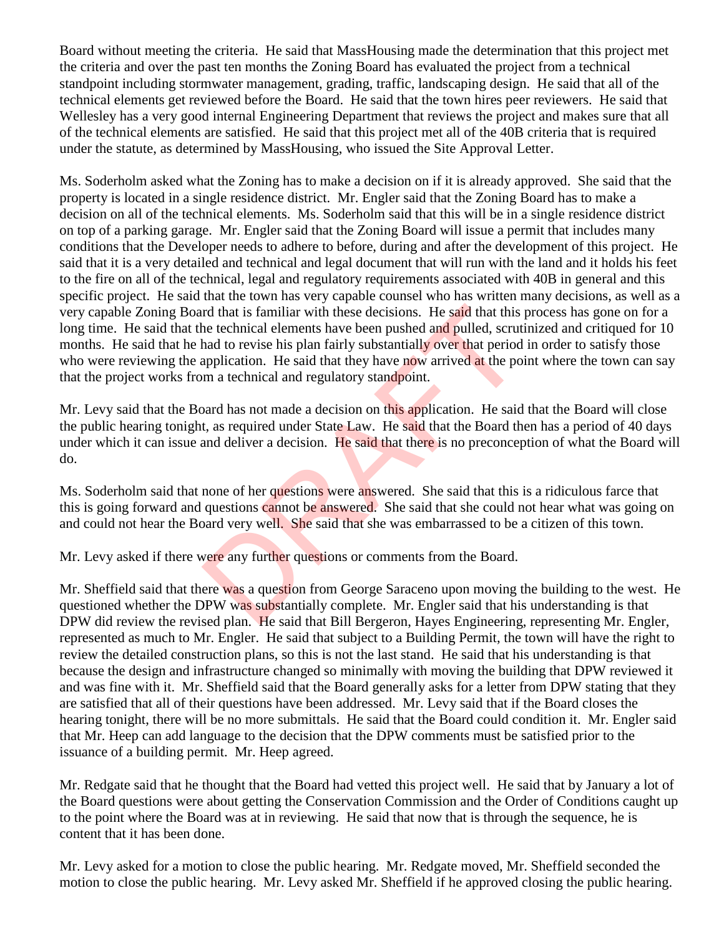Board without meeting the criteria. He said that MassHousing made the determination that this project met the criteria and over the past ten months the Zoning Board has evaluated the project from a technical standpoint including stormwater management, grading, traffic, landscaping design. He said that all of the technical elements get reviewed before the Board. He said that the town hires peer reviewers. He said that Wellesley has a very good internal Engineering Department that reviews the project and makes sure that all of the technical elements are satisfied. He said that this project met all of the 40B criteria that is required under the statute, as determined by MassHousing, who issued the Site Approval Letter.

Ms. Soderholm asked what the Zoning has to make a decision on if it is already approved. She said that the property is located in a single residence district. Mr. Engler said that the Zoning Board has to make a decision on all of the technical elements. Ms. Soderholm said that this will be in a single residence district on top of a parking garage. Mr. Engler said that the Zoning Board will issue a permit that includes many conditions that the Developer needs to adhere to before, during and after the development of this project. He said that it is a very detailed and technical and legal document that will run with the land and it holds his feet to the fire on all of the technical, legal and regulatory requirements associated with 40B in general and this specific project. He said that the town has very capable counsel who has written many decisions, as well as a very capable Zoning Board that is familiar with these decisions. He said that this process has gone on for a long time. He said that the technical elements have been pushed and pulled, scrutinized and critiqued for 10 months. He said that he had to revise his plan fairly substantially over that period in order to satisfy those who were reviewing the application. He said that they have now arrived at the point where the town can say that the project works from a technical and regulatory standpoint. rd that is familiar with these decisions. He said that this<br>the technical elements have been pushed and pulled, scrut<br>had to revise his plan fairly substantially over that period<br>application. He said that they have now arr

Mr. Levy said that the Board has not made a decision on this application. He said that the Board will close the public hearing tonight, as required under State Law. He said that the Board then has a period of 40 days under which it can issue and deliver a decision. He said that there is no preconception of what the Board will do.

Ms. Soderholm said that none of her questions were answered. She said that this is a ridiculous farce that this is going forward and questions cannot be answered. She said that she could not hear what was going on and could not hear the Board very well. She said that she was embarrassed to be a citizen of this town.

Mr. Levy asked if there were any further questions or comments from the Board.

Mr. Sheffield said that there was a question from George Saraceno upon moving the building to the west. He questioned whether the DPW was substantially complete. Mr. Engler said that his understanding is that DPW did review the revised plan. He said that Bill Bergeron, Hayes Engineering, representing Mr. Engler, represented as much to Mr. Engler. He said that subject to a Building Permit, the town will have the right to review the detailed construction plans, so this is not the last stand. He said that his understanding is that because the design and infrastructure changed so minimally with moving the building that DPW reviewed it and was fine with it. Mr. Sheffield said that the Board generally asks for a letter from DPW stating that they are satisfied that all of their questions have been addressed. Mr. Levy said that if the Board closes the hearing tonight, there will be no more submittals. He said that the Board could condition it. Mr. Engler said that Mr. Heep can add language to the decision that the DPW comments must be satisfied prior to the issuance of a building permit. Mr. Heep agreed.

Mr. Redgate said that he thought that the Board had vetted this project well. He said that by January a lot of the Board questions were about getting the Conservation Commission and the Order of Conditions caught up to the point where the Board was at in reviewing. He said that now that is through the sequence, he is content that it has been done.

Mr. Levy asked for a motion to close the public hearing. Mr. Redgate moved, Mr. Sheffield seconded the motion to close the public hearing. Mr. Levy asked Mr. Sheffield if he approved closing the public hearing.